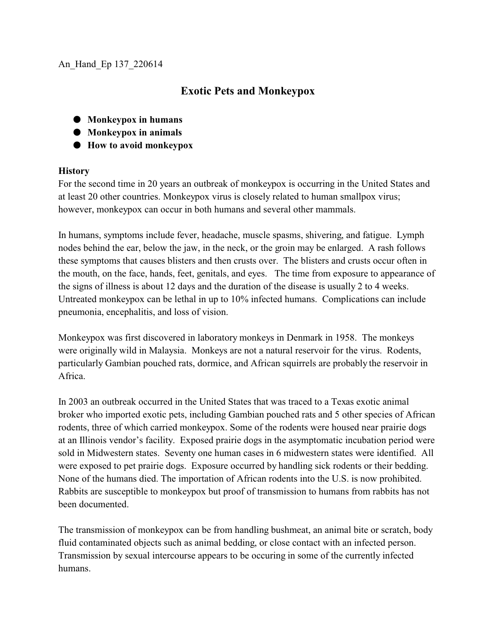## An\_Hand\_Ep 137\_220614

## **Exotic Pets and Monkeypox**

- $\bullet$  Monkeypox in humans
- $\bullet$  Monkeypox in animals
- $\bullet$  How to avoid monkeypox

## **History**

For the second time in 20 years an outbreak of monkeypox is occurring in the United States and at least 20 other countries. Monkeypox virus is closely related to human smallpox virus; however, monkeypox can occur in both humans and several other mammals.

In humans, symptoms include fever, headache, muscle spasms, shivering, and fatigue. Lymph nodes behind the ear, below the jaw, in the neck, or the groin may be enlarged. A rash follows these symptoms that causes blisters and then crusts over. The blisters and crusts occur often in the mouth, on the face, hands, feet, genitals, and eyes. The time from exposure to appearance of the signs of illness is about 12 days and the duration of the disease is usually 2 to 4 weeks. Untreated monkeypox can be lethal in up to 10% infected humans. Complications can include pneumonia, encephalitis, and loss of vision.

Monkeypox was first discovered in laboratory monkeys in Denmark in 1958. The monkeys were originally wild in Malaysia. Monkeys are not a natural reservoir for the virus. Rodents, particularly Gambian pouched rats, dormice, and African squirrels are probably the reservoir in Africa.

In 2003 an outbreak occurred in the United States that was traced to a Texas exotic animal broker who imported exotic pets, including Gambian pouched rats and 5 other species of African rodents, three of which carried monkeypox. Some of the rodents were housed near prairie dogs at an Illinois vendor's facility. Exposed prairie dogs in the asymptomatic incubation period were sold in Midwestern states. Seventy one human cases in 6 midwestern states were identified. All were exposed to pet prairie dogs. Exposure occurred by handling sick rodents or their bedding. None of the humans died. The importation of African rodents into the U.S. is now prohibited. Rabbits are susceptible to monkeypox but proof of transmission to humans from rabbits has not been documented.

The transmission of monkeypox can be from handling bushmeat, an animal bite or scratch, body fluid contaminated objects such as animal bedding, or close contact with an infected person. Transmission by sexual intercourse appears to be occuring in some of the currently infected humans.